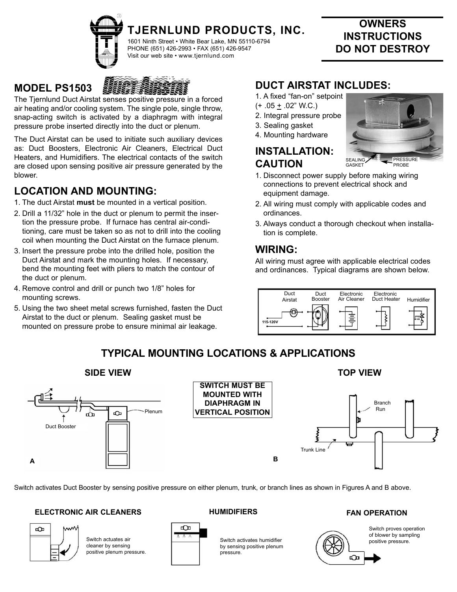

# **TJERNLUND PRODUCTS, INC.**

1601 Ninth Street • White Bear Lake, MN 55110-6794 PHONE (651) 426-2993 • FAX (651) 426-9547 Visit our web site • www.tjernlund.com

### **MODEL PS1503**



The Tjernlund Duct Airstat senses positive pressure in a forced air heating and/or cooling system. The single pole, single throw, snap-acting switch is activated by a diaphragm with integral pressure probe inserted directly into the duct or plenum.

The Duct Airstat can be used to initiate such auxiliary devices as: Duct Boosters, Electronic Air Cleaners, Electrical Duct Heaters, and Humidifiers. The electrical contacts of the switch are closed upon sensing positive air pressure generated by the blower.

### **LOCATION AND MOUNTING:**

- 1. The duct Airstat **must** be mounted in a vertical position.
- 2. Drill a 11/32" hole in the duct or plenum to permit the insertion the pressure probe. If furnace has central air-conditioning, care must be taken so as not to drill into the cooling coil when mounting the Duct Airstat on the furnace plenum.
- 3. Insert the pressure probe into the drilled hole, position the Duct Airstat and mark the mounting holes. If necessary, bend the mounting feet with pliers to match the contour of the duct or plenum.
- 4. Remove control and drill or punch two 1/8" holes for mounting screws.
- 5. Using the two sheet metal screws furnished, fasten the Duct Airstat to the duct or plenum. Sealing gasket must be mounted on pressure probe to ensure minimal air leakage.

## **DUCT AIRSTAT INCLUDES:**

- 1. A fixed "fan-on" setpoint
- $(+.05 \pm .02$ " W.C.)
- 2. Integral pressure probe
- 3. Sealing gasket
- 4. Mounting hardware

### **INSTALLATION: CAUTION**



**OWNERS INSTRUCTIONS DO NOT DESTROY**

- 1. Disconnect power supply before making wiring connections to prevent electrical shock and equipment damage.
- 2. All wiring must comply with applicable codes and ordinances.
- 3. Always conduct a thorough checkout when installation is complete.

### **WIRING:**

All wiring must agree with applicable electrical codes and ordinances. Typical diagrams are shown below.



## **TYPICAL MOUNTING LOCATIONS & APPLICATIONS**



Switch activates Duct Booster by sensing positive pressure on either plenum, trunk, or branch lines as shown in Figures A and B above.

### **ELECTRONIC AIR CLEANERS HUMIDIFIERS FAN OPERATION**



Switch actuates air cleaner by sensing positive plenum pressure.

оÔд

#### Switch activates humidifier by sensing positive plenum pressure.



Switch proves operation of blower by sampling positive pressure.